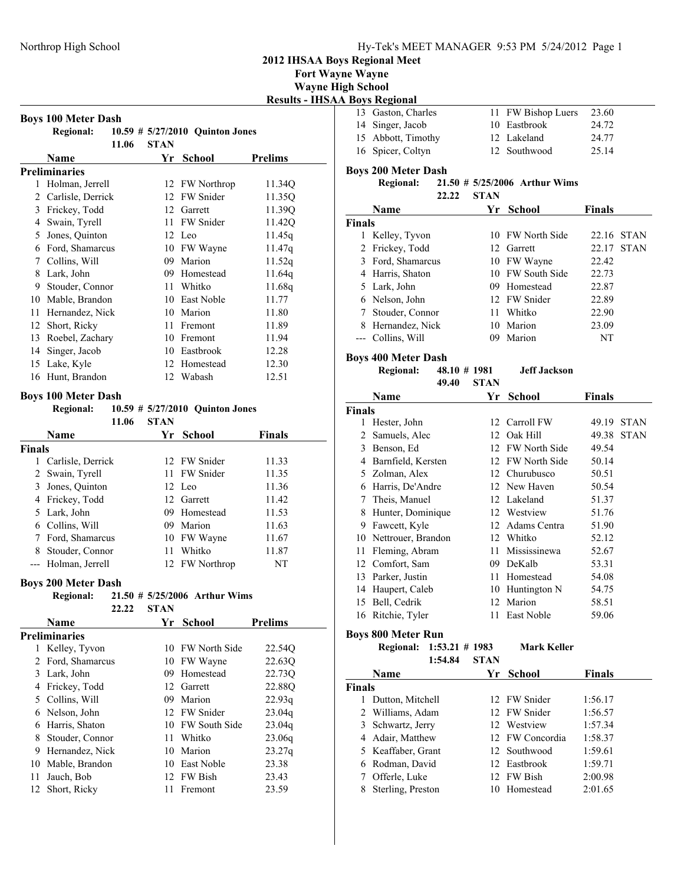**2012 IHSAA Boys Regional Meet**

**Fort Wayne Wayne**

**Wayne High School Results - IHSAA Boys Regional**

|                            |       |                                              | Results - 1115 |
|----------------------------|-------|----------------------------------------------|----------------|
| <b>Boys 100 Meter Dash</b> |       |                                              |                |
|                            |       | Regional: $10.59 \# 5/27/2010$ Ouinton Jones |                |
|                            | 11.06 | <b>STAN</b>                                  |                |
| <b>Name</b>                |       | Yr School                                    | <b>Prelims</b> |

|     | гуаше                | rг | эспоог           | гтении |
|-----|----------------------|----|------------------|--------|
|     | <b>Preliminaries</b> |    |                  |        |
| 1   | Holman, Jerrell      |    | 12 FW Northrop   | 11.340 |
| 2   | Carlisle, Derrick    |    | 12 FW Snider     | 11.35Q |
| 3   | Frickey, Todd        |    | 12 Garrett       | 11.39Q |
| 4   | Swain, Tyrell        | 11 | <b>FW</b> Snider | 11.42Q |
| 5   | Jones, Quinton       |    | $12$ Leo         | 11.45q |
| 6   | Ford, Shamarcus      | 10 | FW Wayne         | 11.47q |
| 7   | Collins, Will        | 09 | Marion           | 11.52q |
| 8   | Lark, John           | 09 | Homestead        | 11.64q |
| 9   | Stouder, Connor      | 11 | Whitko           | 11.68q |
| 10  | Mable, Brandon       | 10 | East Noble       | 11.77  |
| 11. | Hernandez, Nick      |    | 10 Marion        | 11.80  |
| 12  | Short, Ricky         | 11 | Fremont          | 11.89  |
| 13  | Roebel, Zachary      | 10 | Fremont          | 11.94  |
|     | 14 Singer, Jacob     | 10 | Eastbrook        | 12.28  |
|     | 15 Lake, Kyle        |    | 12 Homestead     | 12.30  |
|     | 16 Hunt, Brandon     | 12 | Wabash           | 12.51  |

### **Boys 100 Meter Dash**

**Regional:** 10.59 # 5/27/2010 Quinton Jones

|               | 11.06               | <b>STAN</b> |                |               |  |
|---------------|---------------------|-------------|----------------|---------------|--|
|               | Name                | Yr -        | <b>School</b>  | <b>Finals</b> |  |
| <b>Finals</b> |                     |             |                |               |  |
| 1             | Carlisle, Derrick   |             | 12 FW Snider   | 11.33         |  |
|               | 2 Swain, Tyrell     |             | 11 FW Snider   | 11.35         |  |
| 3             | Jones, Quinton      |             | $12$ Leo       | 11.36         |  |
|               | 4 Frickey, Todd     |             | 12 Garrett     | 11.42         |  |
|               | 5 Lark, John        | 09.         | Homestead      | 11.53         |  |
|               | 6 Collins, Will     | 09          | Marion         | 11.63         |  |
|               | Ford, Shamarcus     |             | 10 FW Wayne    | 11.67         |  |
| 8             | Stouder, Connor     | 11          | Whitko         | 11.87         |  |
|               | --- Holman, Jerrell |             | 12 FW Northrop | NT            |  |

## **Boys 200 Meter Dash**

### **Regional:** 21.50 # 5/25/2006 Arthur Wims **22.22 STAN**

|    | Name                 | Yr  | <b>School</b>    | <b>Prelims</b>     |
|----|----------------------|-----|------------------|--------------------|
|    | <b>Preliminaries</b> |     |                  |                    |
| 1  | Kelley, Tyvon        |     | 10 FW North Side | 22.54Q             |
|    | 2 Ford, Shamarcus    |     | 10 FW Wayne      | 22.63 <sub>O</sub> |
| 3  | Lark, John           |     | 09 Homestead     | 22.73 <sub>O</sub> |
| 4  | Frickey, Todd        |     | 12 Garrett       | 22.88Q             |
|    | 5 Collins, Will      | 09. | Marion           | 22.93q             |
|    | 6 Nelson, John       |     | 12 FW Snider     | 23.04q             |
| 6  | Harris, Shaton       |     | 10 FW South Side | 23.04q             |
| 8  | Stouder, Connor      | 11. | Whitko           | 23.06q             |
| 9  | Hernandez, Nick      | 10  | Marion           | 23.27q             |
| 10 | Mable, Brandon       |     | 10 East Noble    | 23.38              |
| 11 | Jauch, Bob           |     | 12 FW Bish       | 23.43              |
| 12 | Short, Ricky         |     | Fremont          | 23.59              |
|    |                      |     |                  |                    |

| JU JU TAULIUMAI    |                    |       |
|--------------------|--------------------|-------|
| 13 Gaston, Charles | 11 FW Bishop Luers | 23.60 |
| 14 Singer, Jacob   | 10 Eastbrook       | 24.72 |
| 15 Abbott, Timothy | 12 Lakeland        | 24.77 |
| 16 Spicer, Coltyn  | 12 Southwood       | 25.14 |
|                    |                    |       |

# **Boys 200 Meter Dash**

**Regional:** 21.50 # 5/25/2006 Arthur Wims **22.22 STAN**

|               | Name              | Yr School        | <b>Finals</b> |             |
|---------------|-------------------|------------------|---------------|-------------|
| <b>Finals</b> |                   |                  |               |             |
|               | 1 Kelley, Tyvon   | 10 FW North Side |               | 22.16 STAN  |
|               | 2 Frickey, Todd   | 12 Garrett       | 22.17         | <b>STAN</b> |
|               | 3 Ford, Shamarcus | 10 FW Wayne      | 22.42         |             |
|               | 4 Harris, Shaton  | 10 FW South Side | 22.73         |             |
|               | 5 Lark, John      | 09 Homestead     | 22.87         |             |
|               | 6 Nelson, John    | 12 FW Snider     | 22.89         |             |
|               | 7 Stouder, Connor | 11 Whitko        | 22.90         |             |
|               | 8 Hernandez, Nick | 10 Marion        | 23.09         |             |
|               | --- Collins, Will | Marion           | NT            |             |

## **Boys 400 Meter Dash**

### **Regional: 48.10 # Jeff Jackson 1981 49.40 STAN**

|               | Name               | Yr  | <b>School</b>    | Finals |             |
|---------------|--------------------|-----|------------------|--------|-------------|
| <b>Finals</b> |                    |     |                  |        |             |
| 1             | Hester, John       |     | 12 Carroll FW    | 49.19  | <b>STAN</b> |
| 2             | Samuels, Alec      |     | 12 Oak Hill      | 49.38  | <b>STAN</b> |
| 3             | Benson, Ed         |     | 12 FW North Side | 49.54  |             |
| 4             | Barnfield, Kersten |     | 12 FW North Side | 50.14  |             |
|               | 5 Zolman, Alex     |     | 12 Churubusco    | 50.51  |             |
| 6             | Harris, De'Andre   |     | 12 New Haven     | 50.54  |             |
| 7             | Theis, Manuel      |     | 12 Lakeland      | 51.37  |             |
| 8             | Hunter, Dominique  |     | 12 Westview      | 51.76  |             |
| 9             | Fawcett, Kyle      |     | 12 Adams Centra  | 51.90  |             |
| 10            | Nettrouer, Brandon |     | 12 Whitko        | 52.12  |             |
| 11            | Fleming, Abram     | 11  | Mississinewa     | 52.67  |             |
| 12            | Comfort, Sam       | 09. | DeKalb           | 53.31  |             |
| 13            | Parker, Justin     | 11  | Homestead        | 54.08  |             |
| 14            | Haupert, Caleb     |     | 10 Huntington N  | 54.75  |             |
| 15            | Bell, Cedrik       |     | 12 Marion        | 58.51  |             |
|               | 16 Ritchie, Tyler  | 11  | East Noble       | 59.06  |             |

### **Boys 800 Meter Run**

|               | <b>Regional:</b>   | $1:53.21 \# 1983$ |             | <b>Mark Keller</b> |               |
|---------------|--------------------|-------------------|-------------|--------------------|---------------|
|               |                    | 1:54.84           | <b>STAN</b> |                    |               |
|               | Name               |                   | Yr          | School             | <b>Finals</b> |
| <b>Finals</b> |                    |                   |             |                    |               |
| 1             | Dutton, Mitchell   |                   |             | 12 FW Snider       | 1:56.17       |
| 2             | Williams, Adam     |                   |             | 12 FW Snider       | 1:56.57       |
| 3             | Schwartz, Jerry    |                   |             | 12 Westview        | 1:57.34       |
|               | 4 Adair, Matthew   |                   |             | 12 FW Concordia    | 1:58.37       |
|               | 5 Keaffaber, Grant |                   |             | 12 Southwood       | 1:59.61       |
| 6             | Rodman, David      |                   |             | 12 Eastbrook       | 1:59.71       |
|               | Offerle, Luke      |                   |             | 12 FW Bish         | 2:00.98       |
| 8             | Sterling, Preston  |                   | 10          | Homestead          | 2:01.65       |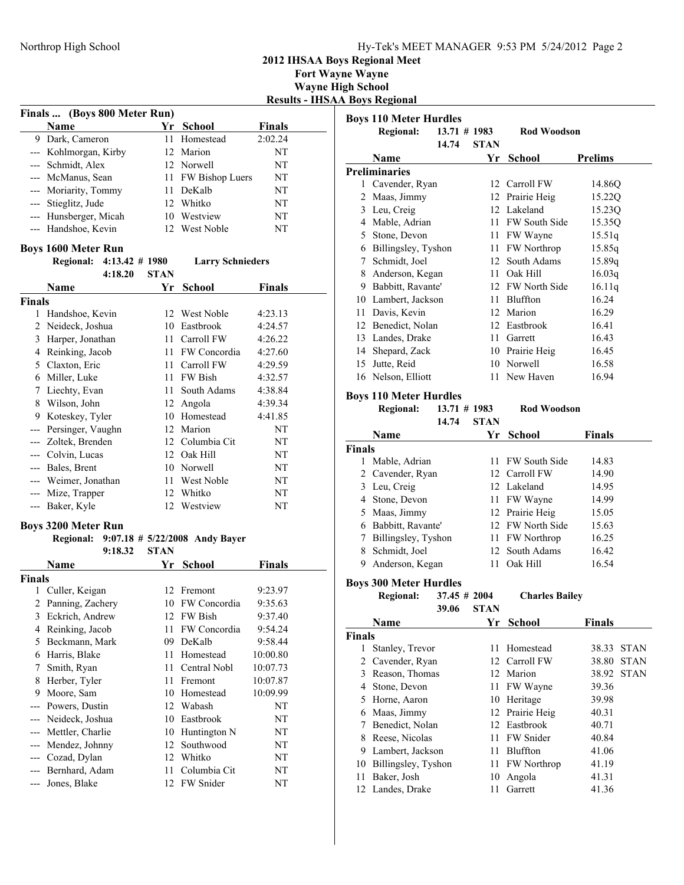**2012 IHSAA Boys Regional Meet**

**Fort Wayne Wayne Wayne High School Results - IHSAA Boys Regional**

| Finals  (Boys 800 Meter Run) |                                       |             |                                  |                    |  |
|------------------------------|---------------------------------------|-------------|----------------------------------|--------------------|--|
|                              | Name                                  | Yr          | <b>School</b>                    | <b>Finals</b>      |  |
| 9                            | Dark, Cameron                         | 11          | Homestead                        | 2:02.24            |  |
|                              | --- Kohlmorgan, Kirby                 | 12          | Marion                           | NΤ                 |  |
| $---$                        | Schmidt, Alex                         |             | 12 Norwell                       | NΤ                 |  |
| $---$                        | McManus, Sean                         |             | 11 FW Bishop Luers               | NΤ                 |  |
| $---$                        | Moriarity, Tommy                      |             | 11 DeKalb                        | NΤ                 |  |
| ---                          | Stieglitz, Jude                       |             | 12 Whitko                        | NΤ                 |  |
| ---                          | Hunsberger, Micah                     |             | 10 Westview                      | NΤ                 |  |
| ---                          | Handshoe, Kevin                       |             | 12 West Noble                    | NΤ                 |  |
|                              | <b>Boys 1600 Meter Run</b>            |             |                                  |                    |  |
|                              | <b>Regional:</b><br>$4:13.42 \# 1980$ |             | <b>Larry Schnieders</b>          |                    |  |
|                              | 4:18.20                               | <b>STAN</b> |                                  |                    |  |
|                              | Name                                  | Yr          | School                           | <b>Finals</b>      |  |
| <b>Finals</b>                |                                       |             |                                  |                    |  |
| 1                            | Handshoe, Kevin                       |             | 12 West Noble                    | 4:23.13            |  |
| 2                            | Neideck, Joshua                       |             | 10 Eastbrook                     | 4:24.57            |  |
|                              | 3 Harper, Jonathan                    |             | 11 Carroll FW                    | 4:26.22            |  |
|                              | 4 Reinking, Jacob                     |             | 11 FW Concordia                  | 4:27.60            |  |
|                              | 5 Claxton, Eric                       |             | 11 Carroll FW                    | 4:29.59            |  |
|                              | 6 Miller, Luke                        |             | 11 FW Bish                       | 4:32.57            |  |
|                              | 7 Liechty, Evan                       | 11          | South Adams                      | 4:38.84            |  |
|                              | 8 Wilson, John                        |             |                                  |                    |  |
| 9                            | Koteskey, Tyler                       |             | 12 Angola<br>10 Homestead        | 4:39.34<br>4:41.85 |  |
| ---                          | Persinger, Vaughn                     |             | 12 Marion                        | NΤ                 |  |
| $---$                        | Zoltek, Brenden                       |             | 12 Columbia Cit                  | NT                 |  |
|                              | --- Colvin, Lucas                     |             | 12 Oak Hill                      | NT                 |  |
|                              | --- Bales, Brent                      |             | 10 Norwell                       | NT                 |  |
|                              |                                       |             | 11 West Noble                    |                    |  |
| ---                          | --- Weimer, Jonathan<br>Mize, Trapper |             | 12 Whitko                        | NΤ<br>NT           |  |
|                              | Baker, Kyle                           | 12          | Westview                         | NΤ                 |  |
| $---$                        |                                       |             |                                  |                    |  |
|                              | <b>Boys 3200 Meter Run</b>            |             |                                  |                    |  |
|                              | <b>Regional:</b>                      |             | 9:07.18 # $5/22/2008$ Andy Bayer |                    |  |
|                              | 9:18.32                               | <b>STAN</b> |                                  |                    |  |
|                              | Name                                  |             | Yr School                        | <b>Finals</b>      |  |
| <b>Finals</b>                |                                       |             |                                  |                    |  |
| 1                            | Culler, Keigan                        | 12          | Fremont                          | 9:23.97            |  |
| $\overline{c}$               | Panning, Zachery                      |             | 10 FW Concordia                  | 9:35.63            |  |
| 3                            | Eckrich, Andrew                       | 12          | FW Bish                          | 9:37.40            |  |
| 4                            | Reinking, Jacob                       | 11          | FW Concordia                     | 9:54.24            |  |
| 5                            | Beckmann, Mark                        | 09          | DeKalb                           | 9:58.44            |  |
| 6                            | Harris, Blake                         | 11          | Homestead                        | 10:00.80           |  |
| 7                            | Smith, Ryan                           | 11          | Central Nobl                     | 10:07.73           |  |
| 8                            | Herber, Tyler                         | 11          | Fremont                          | 10:07.87           |  |
| 9                            | Moore, Sam                            | 10          | Homestead                        | 10:09.99           |  |
| $---$                        | Powers, Dustin                        | 12          | Wabash                           | NT                 |  |
| ---                          | Neideck, Joshua                       | 10          | Eastbrook                        | NT                 |  |
| ---                          | Mettler, Charlie                      | 10          | Huntington N                     | NT                 |  |
| ---                          | Mendez, Johnny                        | 12          | Southwood                        | NT                 |  |
| ---                          | Cozad, Dylan                          | 12          | Whitko                           | NT                 |  |
| ---                          | Bernhard, Adam                        | 11          | Columbia Cit                     | NT                 |  |
| ---                          | Jones, Blake                          | 12          | FW Snider                        | NT                 |  |

|                    | <b>Boys 110 Meter Hurdles</b> |                 |                  |                       |                |             |
|--------------------|-------------------------------|-----------------|------------------|-----------------------|----------------|-------------|
|                    | <b>Regional:</b>              | $13.71 \# 1983$ |                  | <b>Rod Woodson</b>    |                |             |
|                    |                               | 14.74           | <b>STAN</b>      |                       |                |             |
|                    | Name                          |                 | Yr               | <b>School</b>         | <b>Prelims</b> |             |
|                    | <b>Preliminaries</b>          |                 |                  |                       |                |             |
|                    | 1 Cavender, Ryan              |                 |                  | 12 Carroll FW         | 14.86Q         |             |
|                    | 2 Maas, Jimmy                 |                 |                  | 12 Prairie Heig       | 15.22Q         |             |
|                    | 3 Leu, Creig                  |                 |                  | 12 Lakeland           | 15.23Q         |             |
|                    | 4 Mable, Adrian               |                 |                  | 11 FW South Side      | 15.35Q         |             |
|                    | 5 Stone, Devon                |                 |                  | 11 FW Wayne           | 15.51q         |             |
|                    | 6 Billingsley, Tyshon         |                 |                  | 11 FW Northrop        | 15.85q         |             |
|                    | 7 Schmidt, Joel               |                 |                  | 12 South Adams        | 15.89q         |             |
|                    | 8 Anderson, Kegan             |                 |                  | 11 Oak Hill           | 16.03q         |             |
|                    | 9 Babbitt, Ravante'           |                 |                  | 12 FW North Side      | 16.11q         |             |
|                    | 10 Lambert, Jackson           |                 |                  | 11 Bluffton           | 16.24          |             |
|                    | 11 Davis, Kevin               |                 |                  | 12 Marion             | 16.29          |             |
|                    | 12 Benedict, Nolan            |                 |                  | 12 Eastbrook          | 16.41          |             |
|                    | 13 Landes, Drake              |                 |                  | 11 Garrett            | 16.43          |             |
|                    | 14 Shepard, Zack              |                 |                  | 10 Prairie Heig       | 16.45          |             |
| 15                 | Jutte, Reid                   |                 |                  | 10 Norwell            | 16.58          |             |
|                    | 16 Nelson, Elliott            |                 | 11.              | New Haven             | 16.94          |             |
|                    | <b>Boys 110 Meter Hurdles</b> |                 |                  |                       |                |             |
|                    | <b>Regional:</b>              | $13.71 \# 1983$ |                  | <b>Rod Woodson</b>    |                |             |
|                    |                               | 14.74           | <b>STAN</b>      |                       |                |             |
|                    | Name                          |                 | Yr               | <b>School</b>         | <b>Finals</b>  |             |
|                    |                               |                 |                  |                       |                |             |
| <b>Finals</b><br>1 | Mable, Adrian                 |                 | 11               | FW South Side         | 14.83          |             |
|                    | 2 Cavender, Ryan              |                 |                  | 12 Carroll FW         | 14.90          |             |
|                    | 3 Leu, Creig                  |                 |                  | 12 Lakeland           | 14.95          |             |
|                    | 4 Stone, Devon                |                 |                  | 11 FW Wayne           | 14.99          |             |
|                    | 5 Maas, Jimmy                 |                 |                  | 12 Prairie Heig       | 15.05          |             |
|                    | 6 Babbitt, Ravante'           |                 |                  | 12 FW North Side      | 15.63          |             |
|                    | 7 Billingsley, Tyshon         |                 |                  | 11 FW Northrop        | 16.25          |             |
|                    | 8 Schmidt, Joel               |                 | 12 <sup>12</sup> | South Adams           | 16.42          |             |
|                    |                               |                 | 11               | Oak Hill              | 16.54          |             |
| 9                  | Anderson, Kegan               |                 |                  |                       |                |             |
|                    | <b>Boys 300 Meter Hurdles</b> |                 |                  |                       |                |             |
|                    | <b>Regional:</b>              | $37.45 \# 2004$ |                  | <b>Charles Bailey</b> |                |             |
|                    |                               | 39.06           | <b>STAN</b>      |                       |                |             |
|                    | Name                          |                 | Yr               | <b>School</b>         | <b>Finals</b>  |             |
| <b>Finals</b>      |                               |                 |                  |                       |                |             |
| 1                  | Stanley, Trevor               |                 | 11               | Homestead             | 38.33          | <b>STAN</b> |
| $\overline{2}$     | Cavender, Ryan                |                 | 12               | Carroll FW            | 38.80          | <b>STAN</b> |
| 3                  | Reason, Thomas                |                 | 12               | Marion                | 38.92          | <b>STAN</b> |
| 4                  | Stone, Devon                  |                 | 11               | FW Wayne              | 39.36          |             |
| 5                  | Horne, Aaron                  |                 | 10               | Heritage              | 39.98          |             |
| 6                  | Maas, Jimmy                   |                 | 12               | Prairie Heig          | 40.31          |             |
| 7                  | Benedict, Nolan               |                 | 12               | Eastbrook             | 40.71          |             |
| 8                  | Reese, Nicolas                |                 | 11               | FW Snider             | 40.84          |             |
| 9                  | Lambert, Jackson              |                 | 11               | Bluffton              | 41.06          |             |
| 10                 | Billingsley, Tyshon           |                 | 11               | FW Northrop           | 41.19          |             |
| 11                 | Baker, Josh                   |                 | 10               | Angola                | 41.31          |             |
| 12                 | Landes, Drake                 |                 | 11               | Garrett               | 41.36          |             |
|                    |                               |                 |                  |                       |                |             |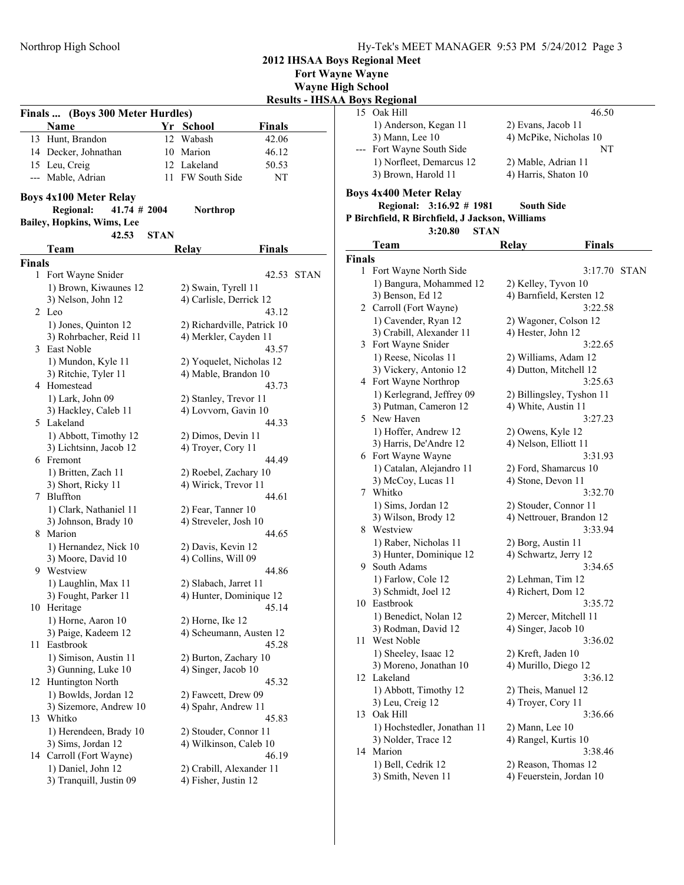**2012 IHSAA Boys Regional Meet**

**Fort Wayne Wayne**

**Wayne High School**

**Results - IHSAA Boys Regional**

|        |                                                 |             |                             |               | <u> Results - IHSAA Bo</u> |
|--------|-------------------------------------------------|-------------|-----------------------------|---------------|----------------------------|
|        | Finals  (Boys 300 Meter Hurdles)<br><b>Name</b> |             | Yr School                   | <b>Finals</b> |                            |
|        | 13 Hunt, Brandon                                |             | 12 Wabash                   | 42.06         |                            |
|        | 14 Decker, Johnathan                            |             | 10 Marion                   | 46.12         |                            |
|        | 15 Leu, Creig                                   |             | 12 Lakeland                 | 50.53         |                            |
|        | --- Mable, Adrian                               |             | 11 FW South Side            | NΤ            |                            |
|        |                                                 |             |                             |               |                            |
|        | <b>Boys 4x100 Meter Relay</b>                   |             |                             |               |                            |
|        | <b>Regional:</b><br>$41.74 \# 2004$             |             | Northrop                    |               |                            |
|        | <b>Bailey, Hopkins, Wims, Lee</b>               |             |                             |               |                            |
|        | 42.53                                           | <b>STAN</b> |                             |               |                            |
|        | Team                                            |             | <b>Relay</b>                | <b>Finals</b> |                            |
| Finals |                                                 |             |                             |               |                            |
|        | 1 Fort Wayne Snider                             |             |                             |               | 42.53 STAN                 |
|        | 1) Brown, Kiwaunes 12                           |             | 2) Swain, Tyrell 11         |               |                            |
|        | 3) Nelson, John 12                              |             | 4) Carlisle, Derrick 12     |               |                            |
|        | 2 Leo                                           |             |                             | 43.12         |                            |
|        | 1) Jones, Quinton 12                            |             | 2) Richardville, Patrick 10 |               |                            |
|        | 3) Rohrbacher, Reid 11                          |             | 4) Merkler, Cayden 11       |               |                            |
|        | 3 East Noble                                    |             |                             | 43.57         |                            |
|        | 1) Mundon, Kyle 11                              |             | 2) Yoquelet, Nicholas 12    |               |                            |
|        | 3) Ritchie, Tyler 11                            |             | 4) Mable, Brandon 10        |               |                            |
|        | 4 Homestead                                     |             |                             | 43.73         |                            |
|        | 1) Lark, John 09                                |             | 2) Stanley, Trevor 11       |               |                            |
|        | 3) Hackley, Caleb 11                            |             | 4) Lovvorn, Gavin 10        |               |                            |
|        | 5 Lakeland                                      |             |                             | 44.33         |                            |
|        | 1) Abbott, Timothy 12                           |             | 2) Dimos, Devin 11          |               |                            |
|        | 3) Lichtsinn, Jacob 12<br>6 Fremont             |             | 4) Troyer, Cory 11          | 44.49         |                            |
|        | 1) Britten, Zach 11                             |             | 2) Roebel, Zachary 10       |               |                            |
|        | 3) Short, Ricky 11                              |             | 4) Wirick, Trevor 11        |               |                            |
| 7      | Bluffton                                        |             |                             | 44.61         |                            |
|        | 1) Clark, Nathaniel 11                          |             | 2) Fear, Tanner 10          |               |                            |
|        | 3) Johnson, Brady 10                            |             | 4) Streveler, Josh 10       |               |                            |
|        | 8 Marion                                        |             |                             | 44.65         |                            |
|        | 1) Hernandez, Nick 10                           |             | 2) Davis, Kevin 12          |               |                            |
|        | 3) Moore, David 10                              |             | 4) Collins, Will 09         |               |                            |
|        | 9 Westview                                      |             |                             | 44.86         |                            |
|        | 1) Laughlin, Max 11                             |             | 2) Slabach, Jarret 11       |               |                            |
|        | 3) Fought, Parker 11                            |             | 4) Hunter, Dominique 12     |               |                            |
|        | 10 Heritage                                     |             |                             | 45.14         |                            |
|        | 1) Horne, Aaron 10                              |             | 2) Horne, Ike 12            |               |                            |
|        | 3) Paige, Kadeem 12                             |             | 4) Scheumann, Austen 12     |               |                            |
| 11     | Eastbrook                                       |             |                             | 45.28         |                            |
|        | 1) Simison, Austin 11                           |             | 2) Burton, Zachary 10       |               |                            |
|        | 3) Gunning, Luke 10                             |             | 4) Singer, Jacob 10         |               |                            |
| 12     | Huntington North                                |             |                             | 45.32         |                            |
|        | 1) Bowlds, Jordan 12                            |             | 2) Fawcett, Drew 09         |               |                            |
|        | 3) Sizemore, Andrew 10                          |             | 4) Spahr, Andrew 11         |               |                            |
| 13     | Whitko                                          |             |                             | 45.83         |                            |
|        | 1) Herendeen, Brady 10                          |             | 2) Stouder, Connor 11       |               |                            |
|        | 3) Sims, Jordan 12                              |             | 4) Wilkinson, Caleb 10      |               |                            |
|        | 14 Carroll (Fort Wayne)                         |             |                             | 46.19         |                            |
|        | 1) Daniel, John 12                              |             | 2) Crabill, Alexander 11    |               |                            |
|        | 3) Tranquill, Justin 09                         |             | 4) Fisher, Justin 12        |               |                            |
|        |                                                 |             |                             |               |                            |

|               | Boys Regional                                   |                           |  |
|---------------|-------------------------------------------------|---------------------------|--|
|               | 15 Oak Hill                                     | 46.50                     |  |
|               | 1) Anderson, Kegan 11                           | 2) Evans, Jacob 11        |  |
|               | 3) Mann, Lee 10                                 | 4) McPike, Nicholas 10    |  |
| ---           | Fort Wayne South Side                           | NΤ                        |  |
|               | 1) Norfleet, Demarcus 12                        | 2) Mable, Adrian 11       |  |
|               | 3) Brown, Harold 11                             |                           |  |
|               |                                                 | 4) Harris, Shaton 10      |  |
|               | Boys 4x400 Meter Relay                          |                           |  |
|               | <b>Regional:</b><br>$3:16.92 \# 1981$           | South Side                |  |
|               | P Birchfield, R Birchfield, J Jackson, Williams |                           |  |
|               | 3:20.80<br><b>STAN</b>                          |                           |  |
|               | Team                                            | Relay<br>Finals           |  |
|               |                                                 |                           |  |
| <b>Finals</b> |                                                 |                           |  |
| 1             | Fort Wayne North Side                           | 3:17.70 STAN              |  |
|               | 1) Bangura, Mohammed 12                         | 2) Kelley, Tyvon 10       |  |
|               | 3) Benson, Ed 12                                | 4) Barnfield, Kersten 12  |  |
|               | 2 Carroll (Fort Wayne)                          | 3:22.58                   |  |
|               | 1) Cavender, Ryan 12                            | 2) Wagoner, Colson 12     |  |
|               | 3) Crabill, Alexander 11                        | 4) Hester, John 12        |  |
| 3             | Fort Wayne Snider                               | 3:22.65                   |  |
|               | 1) Reese, Nicolas 11                            | 2) Williams, Adam 12      |  |
|               | 3) Vickery, Antonio 12                          | 4) Dutton, Mitchell 12    |  |
|               | 4 Fort Wayne Northrop                           | 3:25.63                   |  |
|               | 1) Kerlegrand, Jeffrey 09                       | 2) Billingsley, Tyshon 11 |  |
|               | 3) Putman, Cameron 12                           | 4) White, Austin 11       |  |
| 5             | New Haven                                       | 3:27.23                   |  |
|               | 1) Hoffer, Andrew 12                            | 2) Owens, Kyle 12         |  |
|               | 3) Harris, De'Andre 12                          | 4) Nelson, Elliott 11     |  |
|               | 6 Fort Wayne Wayne                              | 3:31.93                   |  |
|               |                                                 |                           |  |
|               | 1) Catalan, Alejandro 11                        | 2) Ford, Shamarcus 10     |  |
|               | 3) McCoy, Lucas 11<br>Whitko                    | 4) Stone, Devon 11        |  |
| 7             |                                                 | 3:32.70                   |  |
|               | 1) Sims, Jordan 12                              | 2) Stouder, Connor 11     |  |
|               | 3) Wilson, Brody 12                             | 4) Nettrouer, Brandon 12  |  |
|               | 8 Westview                                      | 3:33.94                   |  |
|               | 1) Raber, Nicholas 11                           | 2) Borg, Austin 11        |  |
|               | 3) Hunter, Dominique 12                         | 4) Schwartz, Jerry 12     |  |
|               | 9 South Adams                                   | 3:34.65                   |  |
|               | 1) Farlow, Cole 12                              | 2) Lehman, Tim 12         |  |
|               | 3) Schmidt, Joel 12                             | 4) Richert, Dom 12        |  |
|               | 10 Eastbrook                                    | 3:35.72                   |  |
|               | 1) Benedict, Nolan 12                           | 2) Mercer, Mitchell 11    |  |
|               | 3) Rodman, David 12                             | 4) Singer, Jacob 10       |  |
| 11            | <b>West Noble</b>                               | 3:36.02                   |  |
|               | 1) Sheeley, Isaac 12                            | 2) Kreft, Jaden 10        |  |
|               | 3) Moreno, Jonathan 10                          | 4) Murillo, Diego 12      |  |
|               | 12 Lakeland                                     | 3:36.12                   |  |
|               | 1) Abbott, Timothy 12                           | 2) Theis, Manuel 12       |  |
|               | 3) Leu, Creig 12                                | 4) Troyer, Cory 11        |  |
| 13            | Oak Hill                                        | 3:36.66                   |  |
|               | 1) Hochstedler, Jonathan 11                     |                           |  |
|               |                                                 | $2)$ Mann, Lee 10         |  |
|               | 3) Nolder, Trace 12<br>14 Marion                | 4) Rangel, Kurtis 10      |  |
|               |                                                 | 3:38.46                   |  |
|               | 1) Bell, Cedrik 12                              | 2) Reason, Thomas 12      |  |
|               | 3) Smith, Neven 11                              | 4) Feuerstein, Jordan 10  |  |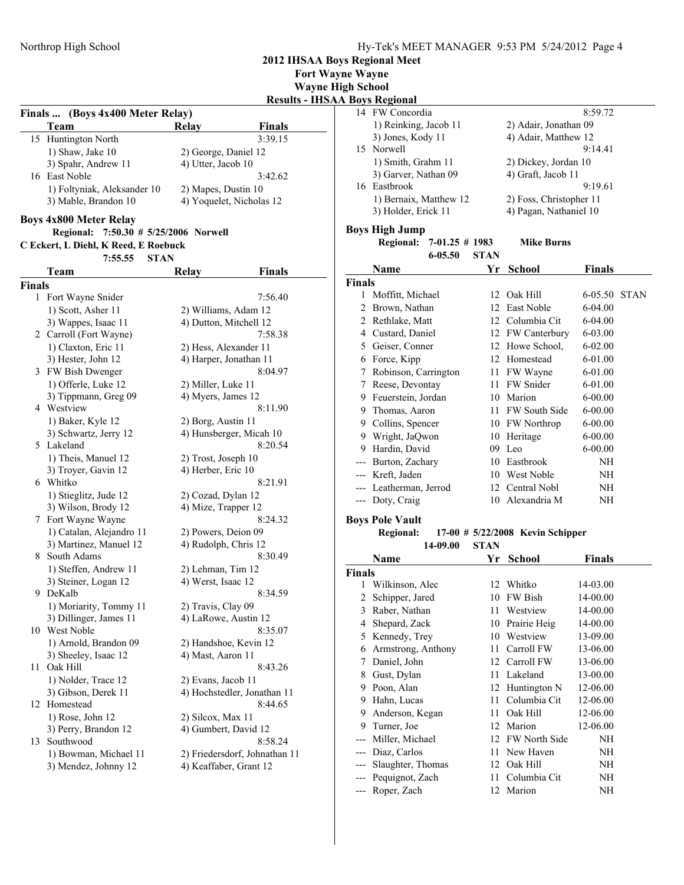**2012 IHSAA Boys Regional Meet**

**Fort Wayne Wayne** Wayne High School

**Results - IHSAA Boys Regional**

|               |                                                    |                        | Results -                     |
|---------------|----------------------------------------------------|------------------------|-------------------------------|
| Finals        | (Boys 4x400 Meter Relay)                           |                        |                               |
|               | Team                                               | <b>Relay</b>           | <b>Finals</b>                 |
|               | 15 Huntington North                                |                        | 3:39.15                       |
|               | 1) Shaw, Jake 10                                   | 2) George, Daniel 12   |                               |
|               | 3) Spahr, Andrew 11                                | 4) Utter, Jacob 10     |                               |
|               | 16 East Noble                                      |                        | 3:42.62                       |
|               | 1) Foltyniak, Aleksander 10                        | 2) Mapes, Dustin 10    |                               |
|               | 3) Mable, Brandon 10                               |                        | 4) Yoquelet, Nicholas 12      |
|               |                                                    |                        |                               |
|               | <b>Boys 4x800 Meter Relay</b>                      |                        |                               |
|               | <b>Regional:</b><br>$7:50.30 \# 5/25/2006$ Norwell |                        |                               |
|               | C Eckert, L Diehl, K Reed, E Roebuck               |                        |                               |
|               | 7:55.55<br><b>STAN</b>                             |                        |                               |
|               | Team                                               | Relay                  | Finals                        |
| <b>Finals</b> |                                                    |                        |                               |
| 1             | Fort Wayne Snider                                  |                        | 7:56.40                       |
|               | 1) Scott, Asher 11                                 | 2) Williams, Adam 12   |                               |
|               | 3) Wappes, Isaac 11                                | 4) Dutton, Mitchell 12 |                               |
|               | 2 Carroll (Fort Wayne)                             |                        | 7:58.38                       |
|               | 1) Claxton, Eric 11                                | 2) Hess, Alexander 11  |                               |
|               | 3) Hester, John 12                                 | 4) Harper, Jonathan 11 |                               |
|               | 3 FW Bish Dwenger                                  |                        | 8:04.97                       |
|               | 1) Offerle, Luke 12                                | 2) Miller, Luke 11     |                               |
|               | 3) Tippmann, Greg 09                               | 4) Myers, James 12     |                               |
|               | 4 Westview                                         |                        | 8:11.90                       |
|               | 1) Baker, Kyle 12                                  | 2) Borg, Austin 11     |                               |
|               | 3) Schwartz, Jerry 12                              |                        | 4) Hunsberger, Micah 10       |
| 5.            | Lakeland                                           |                        | 8:20.54                       |
|               | 1) Theis, Manuel 12                                | 2) Trost, Joseph 10    |                               |
|               | 3) Troyer, Gavin 12                                | 4) Herber, Eric 10     |                               |
|               | 6 Whitko                                           |                        | 8:21.91                       |
|               | 1) Stieglitz, Jude 12                              | 2) Cozad, Dylan 12     |                               |
|               | 3) Wilson, Brody 12                                | 4) Mize, Trapper 12    |                               |
|               | 7 Fort Wayne Wayne                                 |                        | 8:24.32                       |
|               | 1) Catalan, Alejandro 11                           | 2) Powers, Deion 09    |                               |
|               | 3) Martinez, Manuel 12                             | 4) Rudolph, Chris 12   |                               |
| 8             | South Adams                                        |                        | 8:30.49                       |
|               | 1) Steffen, Andrew 11                              | 2) Lehman, Tim 12      |                               |
|               | 3) Steiner, Logan 12                               | 4) Werst, Isaac 12     |                               |
| 9             | DeKalb                                             |                        | 8:34.59                       |
|               | 1) Moriarity, Tommy 11                             | 2) Travis, Clay 09     |                               |
|               | 3) Dillinger, James 11                             | 4) LaRowe, Austin 12   |                               |
|               | 10 West Noble                                      |                        | 8:35.07                       |
|               | 1) Arnold, Brandon 09                              | 2) Handshoe, Kevin 12  |                               |
|               | 3) Sheeley, Isaac 12                               | 4) Mast, Aaron 11      |                               |
| 11            | Oak Hill                                           |                        | 8:43.26                       |
|               | 1) Nolder, Trace 12                                | 2) Evans, Jacob 11     |                               |
|               | 3) Gibson, Derek 11                                |                        | 4) Hochstedler, Jonathan 11   |
| 12            | Homestead                                          |                        | 8:44.65                       |
|               | 1) Rose, John 12                                   | 2) Silcox, Max 11      |                               |
|               | 3) Perry, Brandon 12                               | 4) Gumbert, David 12   |                               |
| 13            | Southwood                                          |                        | 8:58.24                       |
|               | 1) Bowman, Michael 11                              |                        | 2) Friedersdorf, Johnathan 11 |
|               | 3) Mendez, Johnny 12                               | 4) Keaffaber, Grant 12 |                               |
|               |                                                    |                        |                               |

|               | DOYS INEXIUNAI                        |             |                                  |              |  |
|---------------|---------------------------------------|-------------|----------------------------------|--------------|--|
|               | 14 FW Concordia                       |             |                                  | 8:59.72      |  |
|               | 1) Reinking, Jacob 11                 |             | 2) Adair, Jonathan 09            |              |  |
|               | 3) Jones, Kody 11                     |             | 4) Adair, Matthew 12             |              |  |
|               | 15 Norwell                            |             |                                  | 9:14.41      |  |
|               | 1) Smith, Grahm 11                    |             | 2) Dickey, Jordan 10             |              |  |
|               | 3) Garver, Nathan 09                  |             | 4) Graft, Jacob 11               |              |  |
|               | 16 Eastbrook                          |             |                                  | 9:19.61      |  |
|               | 1) Bernaix, Matthew 12                |             | 2) Foss, Christopher 11          |              |  |
|               | 3) Holder, Erick 11                   |             | 4) Pagan, Nathaniel 10           |              |  |
|               | <b>Boys High Jump</b>                 |             |                                  |              |  |
|               |                                       |             |                                  |              |  |
|               | <b>Regional:</b><br>$7-01.25 \# 1983$ |             | <b>Mike Burns</b>                |              |  |
|               | $6 - 05.50$                           | <b>STAN</b> |                                  |              |  |
|               | Name                                  | Yr          | <b>School</b>                    | Finals       |  |
| <b>Finals</b> |                                       |             |                                  |              |  |
| 1             | Moffitt, Michael                      |             | 12 Oak Hill                      | 6-05.50 STAN |  |
|               | 2 Brown, Nathan                       |             | 12 East Noble                    | $6 - 04.00$  |  |
|               | 2 Rethlake, Matt                      |             | 12 Columbia Cit                  | $6 - 04.00$  |  |
|               | 4 Custard, Daniel                     |             | 12 FW Canterbury                 | $6 - 03.00$  |  |
|               | 5 Geiser, Conner                      |             | 12 Howe School,                  | $6 - 02.00$  |  |
|               | 6 Force, Kipp                         |             | 12 Homestead                     | 6-01.00      |  |
| 7             | Robinson, Carrington                  |             | 11 FW Wayne                      | $6 - 01.00$  |  |
|               | 7 Reese, Devontay                     |             | 11 FW Snider                     | $6 - 01.00$  |  |
|               | 9 Feuerstein, Jordan                  |             | 10 Marion                        | 6-00.00      |  |
|               | 9 Thomas, Aaron                       |             | 11 FW South Side                 | $6 - 00.00$  |  |
|               | 9 Collins, Spencer                    |             | 10 FW Northrop                   | $6 - 00.00$  |  |
|               | 9 Wright, JaQwon                      |             | 10 Heritage                      | $6 - 00.00$  |  |
|               | 9 Hardin, David                       |             | 09 Leo                           | $6 - 00.00$  |  |
|               | --- Burton, Zachary                   |             | 10 Eastbrook                     | NΗ           |  |
|               |                                       |             |                                  |              |  |
|               | --- Kreft, Jaden                      |             | 10 West Noble                    | NH           |  |
|               | --- Leatherman, Jerrod                |             | 12 Central Nobl                  | NH           |  |
|               | --- Doty, Craig                       |             | 10 Alexandria M                  | NH           |  |
|               | <b>Boys Pole Vault</b>                |             |                                  |              |  |
|               | <b>Regional:</b>                      |             | 17-00 # 5/22/2008 Kevin Schipper |              |  |
|               | 14-09.00                              | <b>STAN</b> |                                  |              |  |
|               | Name                                  |             | Yr School                        | Finals       |  |
| <b>Finals</b> |                                       |             |                                  |              |  |
| 1             | Wilkinson, Alec                       |             | 12 Whitko                        | 14-03.00     |  |
| 2             | Schipper, Jared                       | 10          | FW Bish                          | 14-00.00     |  |
|               |                                       |             | Westview                         |              |  |
| 3             | Raber, Nathan                         | 11          |                                  | 14-00.00     |  |
| 4             | Shepard, Zack                         | 10          | Prairie Heig                     | 14-00.00     |  |
| 5             | Kennedy, Trey                         | 10          | Westview                         | 13-09.00     |  |
| 6             | Armstrong, Anthony                    | 11          | Carroll FW                       | 13-06.00     |  |
| 7             | Daniel, John                          | 12          | Carroll FW                       | 13-06.00     |  |
| 8             | Gust, Dylan                           | 11          | Lakeland                         | 13-00.00     |  |
| 9             | Poon, Alan                            | 12          | Huntington N                     | 12-06.00     |  |
| 9             | Hahn, Lucas                           | 11          | Columbia Cit                     | 12-06.00     |  |
| 9             | Anderson, Kegan                       | 11          | Oak Hill                         | 12-06.00     |  |
| 9             | Turner, Joe                           | 12          | Marion                           | 12-06.00     |  |
| ---           | Miller, Michael                       | 12          | FW North Side                    | NΗ           |  |
| ---           | Diaz, Carlos                          | 11          | New Haven                        | ΝH           |  |
| ---           | Slaughter, Thomas                     |             | 12 Oak Hill                      | NΗ           |  |
| --            | Pequignot, Zach                       | 11          | Columbia Cit                     | NΗ           |  |
|               | Roper, Zach                           | 12          | Marion                           | NΗ           |  |